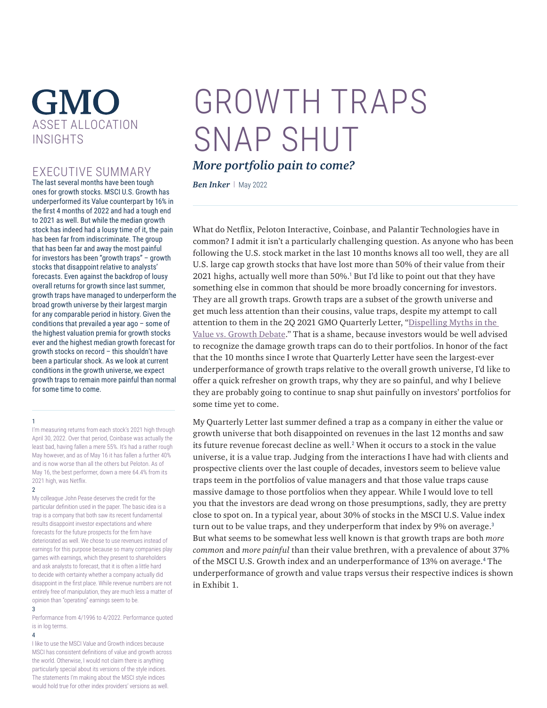# **GMO** ASSET ALLOCATION INSIGHTS

# EXECUTIVE SUMMARY

The last several months have been tough ones for growth stocks. MSCI U.S. Growth has underperformed its Value counterpart by 16% in the first 4 months of 2022 and had a tough end to 2021 as well. But while the median growth stock has indeed had a lousy time of it, the pain has been far from indiscriminate. The group that has been far and away the most painful for investors has been "growth traps" – growth stocks that disappoint relative to analysts' forecasts. Even against the backdrop of lousy overall returns for growth since last summer, growth traps have managed to underperform the broad growth universe by their largest margin for any comparable period in history. Given the conditions that prevailed a year ago – some of the highest valuation premia for growth stocks ever and the highest median growth forecast for growth stocks on record – this shouldn't have been a particular shock. As we look at current conditions in the growth universe, we expect growth traps to remain more painful than normal for some time to come.

#### 1

I'm measuring returns from each stock's 2021 high through April 30, 2022. Over that period, Coinbase was actually the least bad, having fallen a mere 55%. It's had a rather rough May however, and as of May 16 it has fallen a further 40% and is now worse than all the others but Peloton. As of May 16, the best performer, down a mere 64.4% from its 2021 high, was Netflix.

#### $\overline{2}$

My colleague John Pease deserves the credit for the particular definition used in the paper. The basic idea is a trap is a company that both saw its recent fundamental results disappoint investor expectations and where forecasts for the future prospects for the firm have deteriorated as well. We chose to use revenues instead of earnings for this purpose because so many companies play games with earnings, which they present to shareholders and ask analysts to forecast, that it is often a little hard to decide with certainty whether a company actually did disappoint in the first place. While revenue numbers are not entirely free of manipulation, they are much less a matter of opinion than "operating" earnings seem to be.

### 3

Performance from 4/1996 to 4/2022. Performance quoted is in log terms.

#### 4

I like to use the MSCI Value and Growth indices because MSCI has consistent definitions of value and growth across the world. Otherwise, I would not claim there is anything particularly special about its versions of the style indices. The statements I'm making about the MSCI style indices would hold true for other index providers' versions as well.

# GROWTH TRAPS SNAP SHUT

# *More portfolio pain to come?*

*Ben Inker* | May 2022

What do Netflix, Peloton Interactive, Coinbase, and Palantir Technologies have in common? I admit it isn't a particularly challenging question. As anyone who has been following the U.S. stock market in the last 10 months knows all too well, they are all U.S. large cap growth stocks that have lost more than 50% of their value from their 2021 highs, actually well more than 50%.<sup>1</sup> But I'd like to point out that they have something else in common that should be more broadly concerning for investors. They are all growth traps. Growth traps are a subset of the growth universe and get much less attention than their cousins, value traps, despite my attempt to call attention to them in the 2Q 2021 GMO Quarterly Letter, "[Dispelling Myths in the](https://www.gmo.com/americas/research-library/2q-2021-gmo-quarterly-letter/)  [Value vs. Growth Debate.](https://www.gmo.com/americas/research-library/2q-2021-gmo-quarterly-letter/)" That is a shame, because investors would be well advised to recognize the damage growth traps can do to their portfolios. In honor of the fact that the 10 months since I wrote that Quarterly Letter have seen the largest-ever underperformance of growth traps relative to the overall growth universe, I'd like to offer a quick refresher on growth traps, why they are so painful, and why I believe they are probably going to continue to snap shut painfully on investors' portfolios for some time yet to come.

My Quarterly Letter last summer defined a trap as a company in either the value or growth universe that both disappointed on revenues in the last 12 months and saw its future revenue forecast decline as well.<sup>2</sup> When it occurs to a stock in the value universe, it is a value trap. Judging from the interactions I have had with clients and prospective clients over the last couple of decades, investors seem to believe value traps teem in the portfolios of value managers and that those value traps cause massive damage to those portfolios when they appear. While I would love to tell you that the investors are dead wrong on those presumptions, sadly, they are pretty close to spot on. In a typical year, about 30% of stocks in the MSCI U.S. Value index turn out to be value traps, and they underperform that index by 9% on average.<sup>3</sup> But what seems to be somewhat less well known is that growth traps are both *more common* and *more painful* than their value brethren, with a prevalence of about 37% of the MSCI U.S. Growth index and an underperformance of 13% on average.<sup>4</sup> The underperformance of growth and value traps versus their respective indices is shown in Exhibit 1.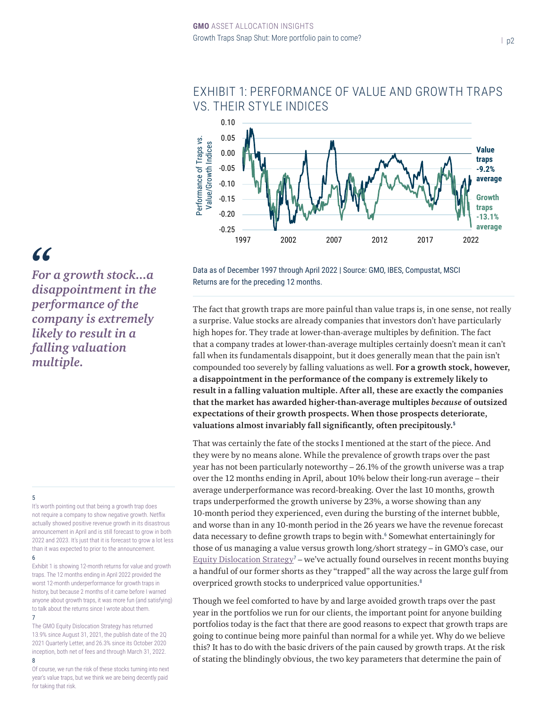

# EXHIBIT 1: PERFORMANCE OF VALUE AND GROWTH TRAPS VS. THEIR STYLE INDICES

# *"*

*For a growth stock...a disappointment in the performance of the company is extremely likely to result in a falling valuation multiple.*

## 5

It's worth pointing out that being a growth trap does not require a company to show negative growth. Netflix actually showed positive revenue growth in its disastrous announcement in April and is still forecast to grow in both 2022 and 2023. It's just that it is forecast to grow a lot less than it was expected to prior to the announcement.

6

Exhibit 1 is showing 12-month returns for value and growth traps. The 12 months ending in April 2022 provided the worst 12-month underperformance for growth traps in history, but because 2 months of it came before I warned anyone about growth traps, it was more fun (and satisfying) to talk about the returns since I wrote about them. 7

The GMO Equity Dislocation Strategy has returned 13.9% since August 31, 2021, the publish date of the 2Q 2021 Quarterly Letter, and 26.3% since its October 2020 inception, both net of fees and through March 31, 2022.

8 Of course, we run the risk of these stocks turning into next year's value traps, but we think we are being decently paid for taking that risk.

Data as of December 1997 through April 2022 | Source: GMO, IBES, Compustat, MSCI Returns are for the preceding 12 months.

The fact that growth traps are more painful than value traps is, in one sense, not really a surprise. Value stocks are already companies that investors don't have particularly high hopes for. They trade at lower-than-average multiples by definition. The fact that a company trades at lower-than-average multiples certainly doesn't mean it can't fall when its fundamentals disappoint, but it does generally mean that the pain isn't compounded too severely by falling valuations as well. **For a growth stock, however, a disappointment in the performance of the company is extremely likely to result in a falling valuation multiple. After all, these are exactly the companies that the market has awarded higher-than-average multiples** *because* **of outsized expectations of their growth prospects. When those prospects deteriorate, valuations almost invariably fall significantly, often precipitously.<sup>5</sup>**

That was certainly the fate of the stocks I mentioned at the start of the piece. And they were by no means alone. While the prevalence of growth traps over the past year has not been particularly noteworthy – 26.1% of the growth universe was a trap over the 12 months ending in April, about 10% below their long-run average – their average underperformance was record-breaking. Over the last 10 months, growth traps underperformed the growth universe by 23%, a worse showing than any 10-month period they experienced, even during the bursting of the internet bubble, and worse than in any 10-month period in the 26 years we have the revenue forecast data necessary to define growth traps to begin with.<sup>6</sup> Somewhat entertainingly for those of us managing a value versus growth long/short strategy – in GMO's case, our  $Equity Dislocation Strategy<sup>7</sup> – we've actually found ourselves in recent months buying$  $Equity Dislocation Strategy<sup>7</sup> – we've actually found ourselves in recent months buying$ a handful of our former shorts as they "trapped" all the way across the large gulf from overpriced growth stocks to underpriced value opportunities.<sup>8</sup>

Though we feel comforted to have by and large avoided growth traps over the past year in the portfolios we run for our clients, the important point for anyone building portfolios today is the fact that there are good reasons to expect that growth traps are going to continue being more painful than normal for a while yet. Why do we believe this? It has to do with the basic drivers of the pain caused by growth traps. At the risk of stating the blindingly obvious, the two key parameters that determine the pain of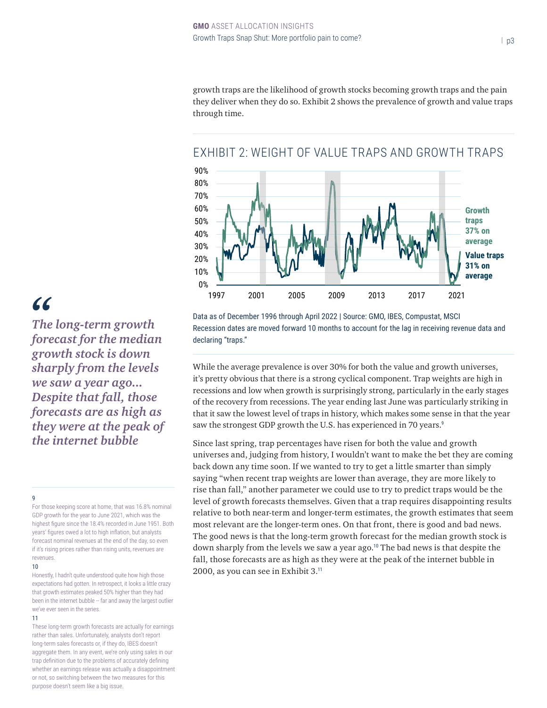growth traps are the likelihood of growth stocks becoming growth traps and the pain they deliver when they do so. Exhibit 2 shows the prevalence of growth and value traps through time.



# EXHIBIT 2: WEIGHT OF VALUE TRAPS AND GROWTH TRAPS

Data as of December 1996 through April 2022 | Source: GMO, IBES, Compustat, MSCI Recession dates are moved forward 10 months to account for the lag in receiving revenue data and declaring "traps."

While the average prevalence is over 30% for both the value and growth universes, it's pretty obvious that there is a strong cyclical component. Trap weights are high in recessions and low when growth is surprisingly strong, particularly in the early stages of the recovery from recessions. The year ending last June was particularly striking in that it saw the lowest level of traps in history, which makes some sense in that the year saw the strongest GDP growth the U.S. has experienced in 70 years.<sup>9</sup>

Since last spring, trap percentages have risen for both the value and growth universes and, judging from history, I wouldn't want to make the bet they are coming back down any time soon. If we wanted to try to get a little smarter than simply saying "when recent trap weights are lower than average, they are more likely to rise than fall," another parameter we could use to try to predict traps would be the level of growth forecasts themselves. Given that a trap requires disappointing results relative to both near-term and longer-term estimates, the growth estimates that seem most relevant are the longer-term ones. On that front, there is good and bad news. The good news is that the long-term growth forecast for the median growth stock is down sharply from the levels we saw a year ago.<sup>10</sup> The bad news is that despite the fall, those forecasts are as high as they were at the peak of the internet bubble in 2000, as you can see in Exhibit 3.<sup>11</sup>

# *"*

*The long-term growth forecast for the median growth stock is down sharply from the levels we saw a year ago... Despite that fall, those forecasts are as high as they were at the peak of the internet bubble*

## 9

For those keeping score at home, that was 16.8% nominal GDP growth for the year to June 2021, which was the highest figure since the 18.4% recorded in June 1951. Both years' figures owed a lot to high inflation, but analysts forecast nominal revenues at the end of the day, so even if it's rising prices rather than rising units, revenues are revenues.

#### 10

Honestly, I hadn't quite understood quite how high those expectations had gotten. In retrospect, it looks a little crazy that growth estimates peaked 50% higher than they had been in the internet bubble -- far and away the largest outlier we've ever seen in the series.

#### 11

These long-term growth forecasts are actually for earnings rather than sales. Unfortunately, analysts don't report long-term sales forecasts or, if they do, IBES doesn't aggregate them. In any event, we're only using sales in our trap definition due to the problems of accurately defining whether an earnings release was actually a disappointment or not, so switching between the two measures for this purpose doesn't seem like a big issue.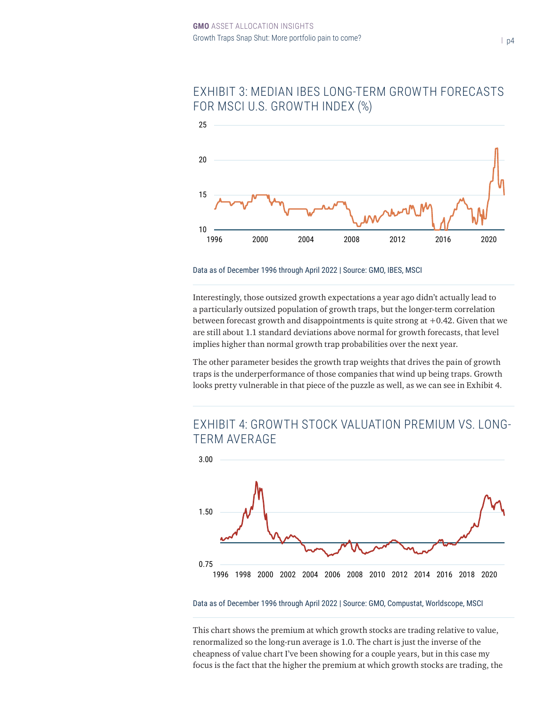

# EXHIBIT 3: MEDIAN IBES LONG-TERM GROWTH FORECASTS FOR MSCI U.S. GROWTH INDEX (%)

Data as of December 1996 through April 2022 | Source: GMO, IBES, MSCI

Interestingly, those outsized growth expectations a year ago didn't actually lead to a particularly outsized population of growth traps, but the longer-term correlation between forecast growth and disappointments is quite strong at +0.42. Given that we are still about 1.1 standard deviations above normal for growth forecasts, that level implies higher than normal growth trap probabilities over the next year.

The other parameter besides the growth trap weights that drives the pain of growth traps is the underperformance of those companies that wind up being traps. Growth looks pretty vulnerable in that piece of the puzzle as well, as we can see in Exhibit 4.

# EXHIBIT 4: GROWTH STOCK VALUATION PREMIUM VS. LONG-TERM AVERAGE



Data as of December 1996 through April 2022 | Source: GMO, Compustat, Worldscope, MSCI

This chart shows the premium at which growth stocks are trading relative to value, renormalized so the long-run average is 1.0. The chart is just the inverse of the cheapness of value chart I've been showing for a couple years, but in this case my focus is the fact that the higher the premium at which growth stocks are trading, the